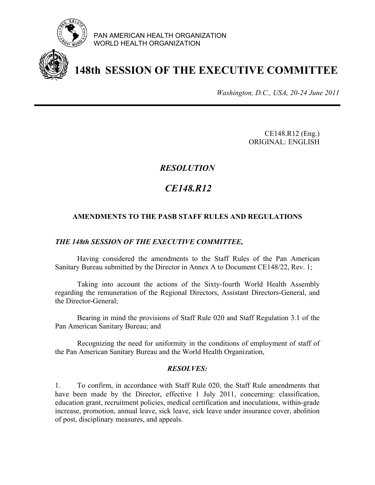

PAN AMERICAN HEALTH ORGANIZATION WORLD HEALTH ORGANIZATION

# **148th SESSION OF THE EXECUTIVE COMMITTEE**

*Washington, D.C., USA, 20-24 June 2011*

 CE148.R12 (Eng.) ORIGINAL: ENGLISH

## *RESOLUTION*

# *CE148.R12*

### **AMENDMENTS TO THE PASB STAFF RULES AND REGULATIONS**

#### *THE 148th SESSION OF THE EXECUTIVE COMMITTEE,*

Having considered the amendments to the Staff Rules of the Pan American Sanitary Bureau submitted by the Director in Annex A to Document CE148/22, Rev. 1;

Taking into account the actions of the Sixty-fourth World Health Assembly regarding the remuneration of the Regional Directors, Assistant Directors-General, and the Director-General;

Bearing in mind the provisions of Staff Rule 020 and Staff Regulation 3.1 of the Pan American Sanitary Bureau; and

Recognizing the need for uniformity in the conditions of employment of staff of the Pan American Sanitary Bureau and the World Health Organization,

#### *RESOLVES:*

1. To confirm, in accordance with Staff Rule 020, the Staff Rule amendments that have been made by the Director, effective 1 July 2011, concerning: classification, education grant, recruitment policies, medical certification and inoculations, within-grade increase, promotion, annual leave, sick leave, sick leave under insurance cover, abolition of post, disciplinary measures, and appeals.